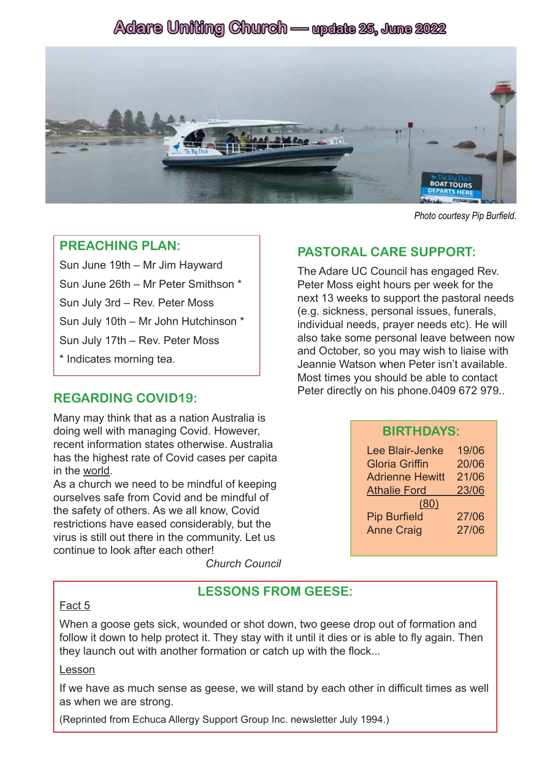# **Adare Uniting Church — update 25, June 2022**



*Photo courtesy Pip Burfield.*

#### **PREACHING PLAN:**

Sun June 19th – Mr Jim Hayward Sun June 26th – Mr Peter Smithson \* Sun July 3rd – Rev. Peter Moss Sun July 10th – Mr John Hutchinson \* Sun July 17th – Rev. Peter Moss \* Indicates morning tea.

# **REGARDING COVID19:**

Many may think that as a nation Australia is doing well with managing Covid. However, recent information states otherwise. Australia has the highest rate of Covid cases per capita in the world.

As a church we need to be mindful of keeping ourselves safe from Covid and be mindful of the safety of others. As we all know, Covid restrictions have eased considerably, but the virus is still out there in the community. Let us continue to look after each other!

*Church Council*

# **PASTORAL CARE SUPPORT:**

The Adare UC Council has engaged Rev. Peter Moss eight hours per week for the next 13 weeks to support the pastoral needs (e.g. sickness, personal issues, funerals, individual needs, prayer needs etc). He will also take some personal leave between now and October, so you may wish to liaise with Jeannie Watson when Peter isn't available. Most times you should be able to contact Peter directly on his phone.0409 672 979..

#### **BIRTHDAYS:**

| Lee Blair-Jenke        | 19/06 |
|------------------------|-------|
| <b>Gloria Griffin</b>  | 20/06 |
| <b>Adrienne Hewitt</b> | 21/06 |
| <b>Athalie Ford</b>    | 23/06 |
| (80)                   |       |
| <b>Pip Burfield</b>    | 27/06 |
| <b>Anne Craig</b>      | 27/06 |

### **LESSONS FROM GEESE:**

#### Fact 5

When a goose gets sick, wounded or shot down, two geese drop out of formation and follow it down to help protect it. They stay with it until it dies or is able to fly again. Then they launch out with another formation or catch up with the flock...

#### Lesson

If we have as much sense as geese, we will stand by each other in difficult times as well as when we are strong.

(Reprinted from Echuca Allergy Support Group Inc. newsletter July 1994.)